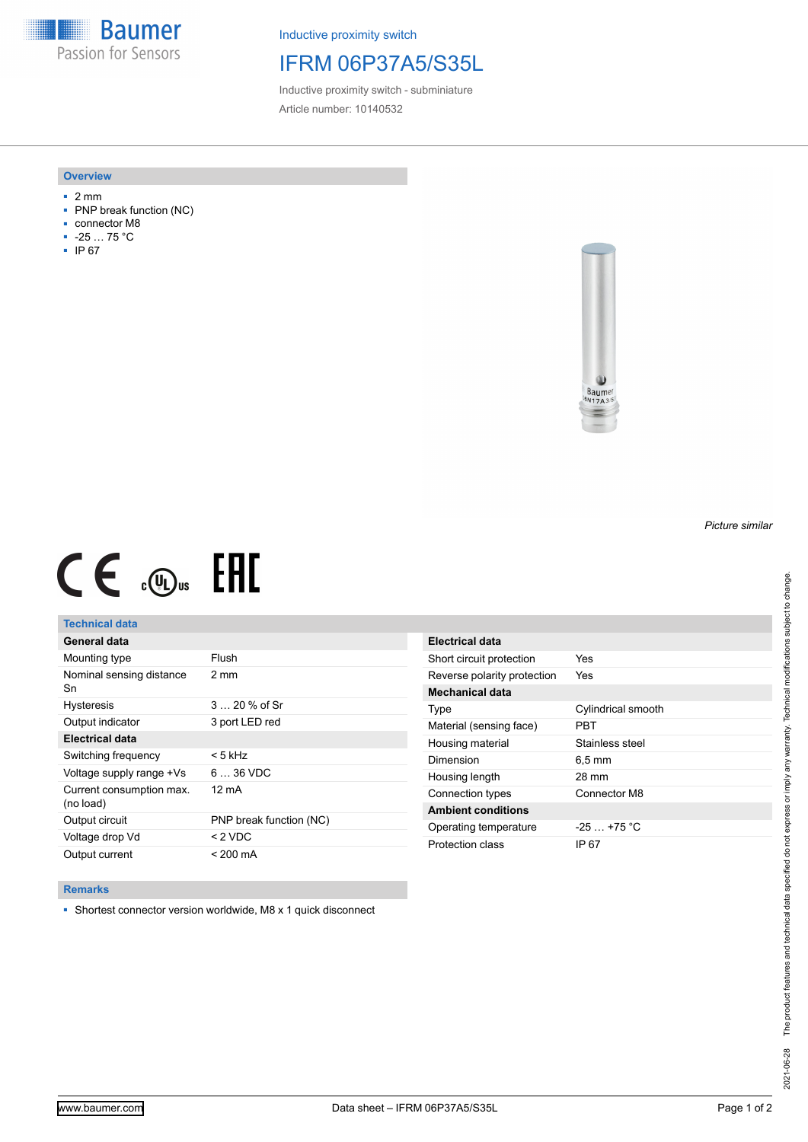**Baumer** Passion for Sensors

Inductive proximity switch

# IFRM 06P37A5/S35L

Inductive proximity switch - subminiature Article number: 10140532

### **Overview**

- 2 mm
- PNP break function (NC)
- connector M8
- -25 … 75 °C
- IP 67



# $CE \mathcal{L}$  (Dus FRE

## **Technical data**

| General data                          |                         |
|---------------------------------------|-------------------------|
| Mounting type                         | Flush                   |
| Nominal sensing distance<br>Sn        | 2 mm                    |
| <b>Hysteresis</b>                     | $320%$ of Sr            |
| Output indicator                      | 3 port LED red          |
| <b>Electrical data</b>                |                         |
| Switching frequency                   | < 5 kHz                 |
| Voltage supply range +Vs              | $636$ VDC               |
| Current consumption max.<br>(no load) | 12 mA                   |
| Output circuit                        | PNP break function (NC) |
| Voltage drop Vd                       | $<$ 2 VDC               |
| Output current                        | $< 200 \text{ mA}$      |

| Electrical data             |                     |
|-----------------------------|---------------------|
| Short circuit protection    | Yes                 |
| Reverse polarity protection | Yes                 |
| <b>Mechanical data</b>      |                     |
| Type                        | Cylindrical smooth  |
| Material (sensing face)     | PRT                 |
| Housing material            | Stainless steel     |
| Dimension                   | $6.5 \,\mathrm{mm}$ |
| Housing length              | 28 mm               |
| Connection types            | Connector M8        |
| <b>Ambient conditions</b>   |                     |
| Operating temperature       | $-25 + 75$ °C       |
| Protection class            | IP 67               |

#### **Remarks**

■ Shortest connector version worldwide, M8 x 1 quick disconnect

*Picture similar*